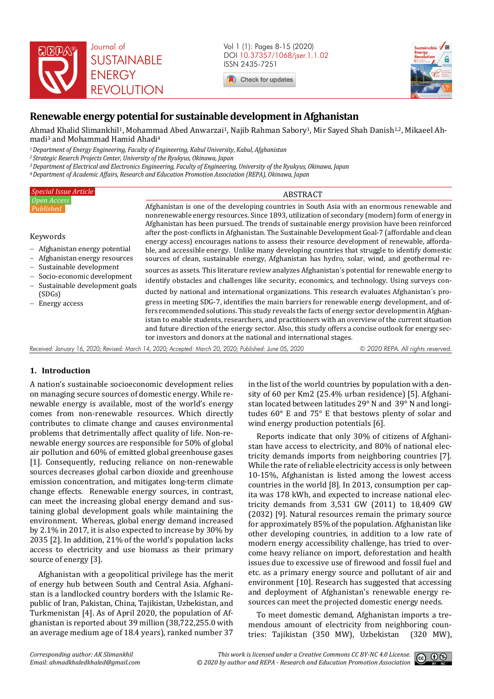

Vol 1 (1): Pages 8-15 (2020) DOI 10.37357/1068/jser.1.1.02 ISSN 2435-7251

Check for updates



# **Renewable energy potential for sustainable development in Afghanistan**

Ahmad Khalid Slimankhil1, Mohammad Abed Anwarzai1, Najib Rahman Sabory1, Mir Sayed Shah Danish1,2, Mikaeel Ahmadi3 and Mohammad Hamid Ahadi<sup>4</sup>

*<sup>1</sup>Department of Energy Engineering, Faculty of Engineering, Kabul University, Kabul, Afghanistan* 

*<sup>2</sup>Strategic Reserch Projects Center, University of the Ryukyus, Okinawa, Japan* 

*<sup>3</sup>Department of Electrical and Electronics Engineering, Faculty of Engineering, University of the Ryukyus, Okinawa, Japan* 

*<sup>4</sup>Department of Academic Affairs, Research and Education Promotion Association (REPA), Okinawa, Japan* 

| <b>Special Issue Article</b>                                                                                                                                                                                        | <b>ABSTRACT</b>                                                                                                                                                                                                                                                                                       |
|---------------------------------------------------------------------------------------------------------------------------------------------------------------------------------------------------------------------|-------------------------------------------------------------------------------------------------------------------------------------------------------------------------------------------------------------------------------------------------------------------------------------------------------|
| Open Access<br>Published                                                                                                                                                                                            | Afghanistan is one of the developing countries in South Asia with an enormous renewable and<br>nonrenewable energy resources. Since 1893, utilization of secondary (modern) form of energy in<br>Afghanistan has been pursued. The trends of sustainable energy provision have been reinforced        |
| Keywords<br>- Afghanistan energy potential<br>- Afghanistan energy resources<br>- Sustainable development<br>- Socio-economic development<br>- Sustainable development goals<br>(SDGs)<br>Energy access<br>$\equiv$ | after the post-conflicts in Afghanistan. The Sustainable Development Goal-7 (affordable and clean<br>energy access) encourages nations to assess their resource development of renewable, afforda-<br>ble, and accessible energy. Unlike many developing countries that struggle to identify domestic |
|                                                                                                                                                                                                                     | sources of clean, sustainable energy, Afghanistan has hydro, solar, wind, and geothermal re-<br>sources as assets. This literature review analyzes Afghanistan's potential for renewable energy to                                                                                                    |
|                                                                                                                                                                                                                     | identify obstacles and challenges like security, economics, and technology. Using surveys con-<br>ducted by national and international organizations. This research evaluates Afghanistan's pro-                                                                                                      |
|                                                                                                                                                                                                                     | gress in meeting SDG-7, identifies the main barriers for renewable energy development, and of-<br>fers recommended solutions. This study reveals the facts of energy sector development in Afghan-                                                                                                    |
|                                                                                                                                                                                                                     | istan to enable students, researchers, and practitioners with an overview of the current situation<br>and future direction of the energy sector. Also, this study offers a concise outlook for energy sec-<br>tor investors and donors at the national and international stages.                      |

*Received: January 16, 2020; Revised: March 14, 2020; Accepted: March 20, 2020; Published: June 05, 2020 © 2020 REPA. All rights reserved.*

# **1. Introduction**

A nation's sustainable socioeconomic development relies on managing secure sources of domestic energy. While renewable energy is available, most of the world's energy comes from non-renewable resources. Which directly contributes to climate change and causes environmental problems that detrimentally affect quality of life. Non-renewable energy sources are responsible for 50% of global air pollution and 60% of emitted global greenhouse gases [1]. Consequently, reducing reliance on non-renewable sources decreases global carbon dioxide and greenhouse emission concentration, and mitigates long-term climate change effects. Renewable energy sources, in contrast, can meet the increasing global energy demand and sustaining global development goals while maintaining the environment. Whereas, global energy demand increased by 2.1% in 2017, it is also expected to increase by 30% by 2035 [2]. In addition, 21% of the world's population lacks access to electricity and use biomass as their primary source of energy [3].

Afghanistan with a geopolitical privilege has the merit of energy hub between South and Central Asia. Afghanistan is a landlocked country borders with the Islamic Republic of Iran, Pakistan, China, Tajikistan, Uzbekistan, and Turkmenistan [4]. As of April 2020, the population of Afghanistan is reported about 39 million (38,722,255.0 with an average medium age of 18.4 years), ranked number 37

in the list of the world countries by population with a density of 60 per Km2 (25.4% urban residence) [5]. Afghanistan located between latitudes 29° N and 39° N and longitudes 60° E and 75° E that bestows plenty of solar and wind energy production potentials [6].

Reports indicate that only 30% of citizens of Afghanistan have access to electricity, and 80% of national electricity demands imports from neighboring countries [7]. While the rate of reliable electricity access is only between 10-15%, Afghanistan is listed among the lowest access countries in the world [8]. In 2013, consumption per capita was 178 kWh, and expected to increase national electricity demands from 3,531 GW (2011) to 18,409 GW (2032) [9]. Natural resources remain the primary source for approximately 85% of the population. Afghanistan like other developing countries, in addition to a low rate of modern energy accessibility challenge, has tried to overcome heavy reliance on import, deforestation and health issues due to excessive use of firewood and fossil fuel and etc. as a primary energy source and pollutant of air and environment [10]. Research has suggested that accessing and deployment of Afghanistan's renewable energy resources can meet the projected domestic energy needs.

To meet domestic demand, Afghanistan imports a tremendous amount of electricity from neighboring countries: Tajikistan (350 MW), Uzbekistan (320 MW),

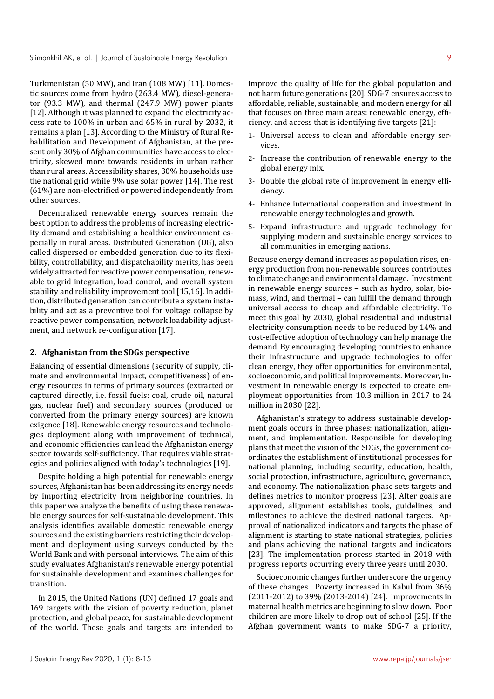Turkmenistan (50 MW), and Iran (108 MW) [11]. Domestic sources come from hydro (263.4 MW), diesel-generator (93.3 MW), and thermal (247.9 MW) power plants [12]. Although it was planned to expand the electricity access rate to 100% in urban and 65% in rural by 2032, it remains a plan [13]. According to the Ministry of Rural Rehabilitation and Development of Afghanistan, at the present only 30% of Afghan communities have access to electricity, skewed more towards residents in urban rather than rural areas. Accessibility shares, 30% households use the national grid while 9% use solar power [14]. The rest (61%) are non-electrified or powered independently from other sources.

Decentralized renewable energy sources remain the best option to address the problems of increasing electricity demand and establishing a healthier environment especially in rural areas. Distributed Generation (DG), also called dispersed or embedded generation due to its flexibility, controllability, and dispatchability merits, has been widely attracted for reactive power compensation, renewable to grid integration, load control, and overall system stability and reliability improvement tool [15,16]. In addition, distributed generation can contribute a system instability and act as a preventive tool for voltage collapse by reactive power compensation, network loadability adjustment, and network re-configuration [17].

#### **2. Afghanistan from the SDGs perspective**

Balancing of essential dimensions (security of supply, climate and environmental impact, competitiveness) of energy resources in terms of primary sources (extracted or captured directly, i.e. fossil fuels: coal, crude oil, natural gas, nuclear fuel) and secondary sources (produced or converted from the primary energy sources) are known exigence [18]. Renewable energy resources and technologies deployment along with improvement of technical, and economic efficiencies can lead the Afghanistan energy sector towards self-sufficiency. That requires viable strategies and policies aligned with today's technologies [19].

Despite holding a high potential for renewable energy sources, Afghanistan has been addressing its energy needs by importing electricity from neighboring countries. In this paper we analyze the benefits of using these renewable energy sources for self-sustainable development. This analysis identifies available domestic renewable energy sources and the existing barriers restricting their development and deployment using surveys conducted by the World Bank and with personal interviews. The aim of this study evaluates Afghanistan's renewable energy potential for sustainable development and examines challenges for transition.

In 2015, the United Nations (UN) defined 17 goals and 169 targets with the vision of poverty reduction, planet protection, and global peace, for sustainable development of the world. These goals and targets are intended to improve the quality of life for the global population and not harm future generations [20]. SDG-7 ensures access to affordable, reliable, sustainable, and modern energy for all that focuses on three main areas: renewable energy, efficiency, and access that is identifying five targets [21]:

- 1- Universal access to clean and affordable energy services.
- 2- Increase the contribution of renewable energy to the global energy mix.
- 3- Double the global rate of improvement in energy efficiency.
- 4- Enhance international cooperation and investment in renewable energy technologies and growth.
- 5- Expand infrastructure and upgrade technology for supplying modern and sustainable energy services to all communities in emerging nations.

Because energy demand increases as population rises, energy production from non-renewable sources contributes to climate change and environmental damage. Investment in renewable energy sources – such as hydro, solar, biomass, wind, and thermal – can fulfill the demand through universal access to cheap and affordable electricity. To meet this goal by 2030, global residential and industrial electricity consumption needs to be reduced by 14% and cost-effective adoption of technology can help manage the demand. By encouraging developing countries to enhance their infrastructure and upgrade technologies to offer clean energy, they offer opportunities for environmental, socioeconomic, and political improvements. Moreover, investment in renewable energy is expected to create employment opportunities from 10.3 million in 2017 to 24 million in 2030 [22].

Afghanistan's strategy to address sustainable development goals occurs in three phases: nationalization, alignment, and implementation. Responsible for developing plans that meet the vision of the SDGs, the government coordinates the establishment of institutional processes for national planning, including security, education, health, social protection, infrastructure, agriculture, governance, and economy. The nationalization phase sets targets and defines metrics to monitor progress [23]. After goals are approved, alignment establishes tools, guidelines, and milestones to achieve the desired national targets. Approval of nationalized indicators and targets the phase of alignment is starting to state national strategies, policies and plans achieving the national targets and indicators [23]. The implementation process started in 2018 with progress reports occurring every three years until 2030.

Socioeconomic changes further underscore the urgency of these changes. Poverty increased in Kabul from 36% (2011-2012) to 39% (2013-2014) [24]. Improvements in maternal health metrics are beginning to slow down. Poor children are more likely to drop out of school [25]. If the Afghan government wants to make SDG-7 a priority,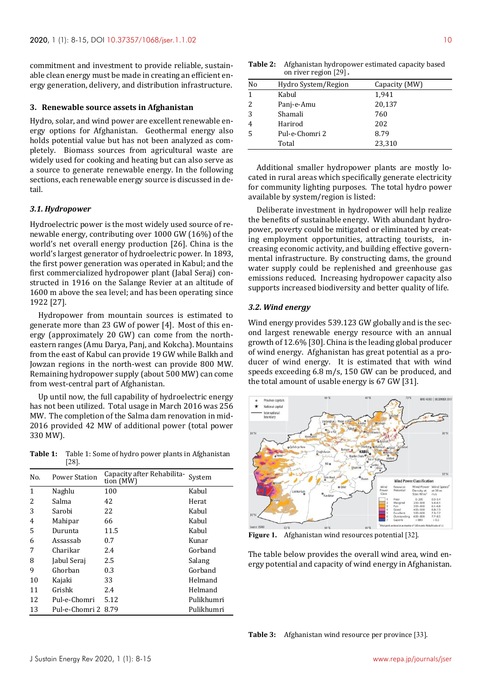commitment and investment to provide reliable, sustainable clean energy must be made in creating an efficient energy generation, delivery, and distribution infrastructure.

#### **3. Renewable source assets in Afghanistan**

Hydro, solar, and wind power are excellent renewable energy options for Afghanistan. Geothermal energy also holds potential value but has not been analyzed as completely. Biomass sources from agricultural waste are widely used for cooking and heating but can also serve as a source to generate renewable energy. In the following sections, each renewable energy source is discussed in detail.

#### *3.1. Hydropower*

Hydroelectric power is the most widely used source of renewable energy, contributing over 1000 GW (16%) of the world's net overall energy production [26]. China is the world's largest generator of hydroelectric power. In 1893, the first power generation was operated in Kabul; and the first commercialized hydropower plant (Jabal Seraj) constructed in 1916 on the Salange Revier at an altitude of 1600 m above the sea level; and has been operating since 1922 [27].

Hydropower from mountain sources is estimated to generate more than 23 GW of power [4]. Most of this energy (approximately 20 GW) can come from the northeastern ranges (Amu Darya, Panj, and Kokcha). Mountains from the east of Kabul can provide 19 GW while Balkh and Jowzan regions in the north-west can provide 800 MW. Remaining hydropower supply (about 500 MW) can come from west-central part of Afghanistan.

Up until now, the full capability of hydroelectric energy has not been utilized. Total usage in March 2016 was 256 MW. The completion of the Salma dam renovation in mid-2016 provided 42 MW of additional power (total power 330 MW).

**Table 1:** Table 1: Some of hydro power plants in Afghanistan [28].

| No. | <b>Power Station</b> | Capacity after Rehabilita-<br>tion (MW) | System     |
|-----|----------------------|-----------------------------------------|------------|
| 1   | Naghlu               | 100                                     | Kabul      |
| 2   | Salma                | 42                                      | Herat      |
| 3   | Sarobi               | 22                                      | Kabul      |
| 4   | Mahipar              | 66                                      | Kabul      |
| 5   | Durunta              | 11.5                                    | Kabul      |
| 6   | Assassab             | 0.7                                     | Kunar      |
| 7   | Charikar             | 2.4                                     | Gorband    |
| 8   | Jabul Seraj          | 2.5                                     | Salang     |
| 9   | Ghorban              | 0.3                                     | Gorband    |
| 10  | Kajaki               | 33                                      | Helmand    |
| 11  | Grishk               | 2.4                                     | Helmand    |
| 12  | Pul-e-Chomri         | 5.12                                    | Pulikhumri |
| 13  | Pul-e-Chomri 2       | 8.79                                    | Pulikhumri |

**Table 2:** Afghanistan hydropower estimated capacity based on river region [29] **.** 

| No | Hydro System/Region | Capacity (MW) |  |
|----|---------------------|---------------|--|
| 1  | Kabul               | 1,941         |  |
| 2  | Panj-e-Amu          | 20,137        |  |
| 3  | Shamali             | 760           |  |
| 4  | Harirod             | 202           |  |
| 5  | Pul-e-Chomri 2      | 8.79          |  |
|    | Total               | 23,310        |  |

Additional smaller hydropower plants are mostly located in rural areas which specifically generate electricity for community lighting purposes. The total hydro power available by system/region is listed:

Deliberate investment in hydropower will help realize the benefits of sustainable energy. With abundant hydropower, poverty could be mitigated or eliminated by creating employment opportunities, attracting tourists, increasing economic activity, and building effective governmental infrastructure. By constructing dams, the ground water supply could be replenished and greenhouse gas emissions reduced. Increasing hydropower capacity also supports increased biodiversity and better quality of life.

#### *3.2. Wind energy*

Wind energy provides 539.123 GW globally and is the second largest renewable energy resource with an annual growth of 12.6% [30]. China is the leading global producer of wind energy. Afghanistan has great potential as a producer of wind energy. It is estimated that with wind speeds exceeding 6.8 m/s, 150 GW can be produced, and the total amount of usable energy is 67 GW [31].



**Figure 1.** Afghanistan wind resources potential [32].

The table below provides the overall wind area, wind energy potential and capacity of wind energy in Afghanistan.

**Table 3:** Afghanistan wind resource per province [33].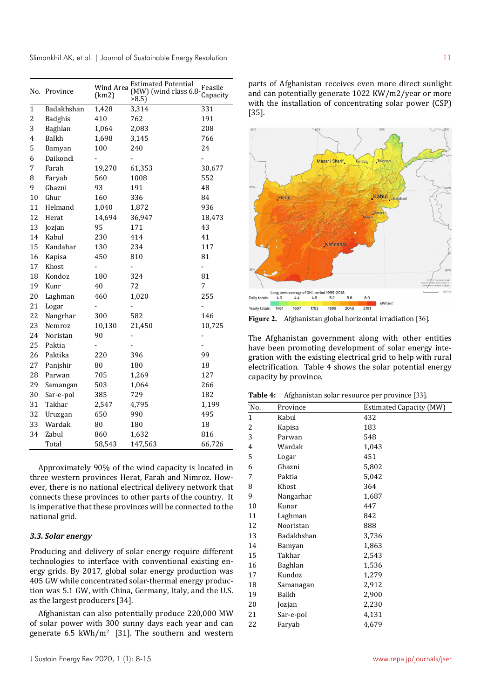Slimankhil AK, et al. | Journal of Sustainable Energy Revolution 11

|                | No. Province   | <b>Wind Area</b><br>(km2) | <b>Estimated Potential</b><br>(MW) (wind class 6.8-<br>>8.5 | Feasile<br>Capacity      |
|----------------|----------------|---------------------------|-------------------------------------------------------------|--------------------------|
| $\mathbf{1}$   | Badakhshan     | 1,428                     | 3,314                                                       | 331                      |
| $\overline{c}$ | <b>Badghis</b> | 410                       | 762                                                         | 191                      |
| 3              | Baghlan        | 1,064                     | 2,083                                                       | 208                      |
| 4              | Balkh          | 1,698                     | 3,145                                                       | 766                      |
| 5              | Bamyan         | 100                       | 240                                                         | 24                       |
| 6              | Daikondi       |                           |                                                             |                          |
| 7              | Farah          | 19,270                    | 61,353                                                      | 30,677                   |
| 8              | Faryab         | 560                       | 1008                                                        | 552                      |
| 9              | Ghazni         | 93                        | 191                                                         | 48                       |
| 10             | Ghur           | 160                       | 336                                                         | 84                       |
| 11             | Helmand        | 1,040                     | 1,872                                                       | 936                      |
| 12             | Herat          | 14,694                    | 36,947                                                      | 18,473                   |
| 13             | Jozjan         | 95                        | 171                                                         | 43                       |
| 14             | Kabul          | 230                       | 414                                                         | 41                       |
| 15             | Kandahar       | 130                       | 234                                                         | 117                      |
| 16             | Kapisa         | 450                       | 810                                                         | 81                       |
| 17             | Khost          | -                         | -                                                           | $\overline{a}$           |
| 18             | Kondoz         | 180                       | 324                                                         | 81                       |
| 19             | Kunr           | 40                        | 72                                                          | 7                        |
| 20             | Laghman        | 460                       | 1,020                                                       | 255                      |
| 21             | Logar          | -                         | $\overline{\phantom{0}}$                                    |                          |
| 22             | Nangrhar       | 300                       | 582                                                         | 146                      |
| 23             | Nemroz         | 10,130                    | 21,450                                                      | 10,725                   |
| 24             | Noristan       | 90                        |                                                             |                          |
| 25             | Paktia         | -                         | -                                                           | $\overline{\phantom{0}}$ |
| 26             | Paktika        | 220                       | 396                                                         | 99                       |
| 27             | Panjshir       | 80                        | 180                                                         | 18                       |
| 28             | Parwan         | 705                       | 1,269                                                       | 127                      |
| 29             | Samangan       | 503                       | 1,064                                                       | 266                      |
| 30             | Sar-e-pol      | 385                       | 729                                                         | 182                      |
| 31             | Takhar         | 2,547                     | 4,795                                                       | 1,199                    |
| 32             | Uruzgan        | 650                       | 990                                                         | 495                      |
| 33             | Wardak         | 80                        | 180                                                         | 18                       |
| 34             | Zabul          | 860                       | 1,632                                                       | 816                      |
|                | Total          | 58,543                    | 147,563                                                     | 66,726                   |

Approximately 90% of the wind capacity is located in three western provinces Herat, Farah and Nimroz. However, there is no national electrical delivery network that connects these provinces to other parts of the country. It is imperative that these provinces will be connected to the national grid.

## *3.3. Solar energy*

Producing and delivery of solar energy require different technologies to interface with conventional existing energy grids. By 2017, global solar energy production was 405 GW while concentrated solar-thermal energy production was 5.1 GW, with China, Germany, Italy, and the U.S. as the largest producers [34].

Afghanistan can also potentially produce 220,000 MW of solar power with 300 sunny days each year and can generate 6.5 kWh/m<sup>2</sup> [31]. The southern and western parts of Afghanistan receives even more direct sunlight and can potentially generate 1022 KW/m2/year or more with the installation of concentrating solar power (CSP) [35].



**Figure 2.** Afghanistan global horizontal irradiation [36].

The Afghanistan government along with other entities have been promoting development of solar energy integration with the existing electrical grid to help with rural electrification. Table 4 shows the solar potential energy capacity by province.

| Table 4: | Afghanistan solar resource per province [33]. |  |  |
|----------|-----------------------------------------------|--|--|
|----------|-----------------------------------------------|--|--|

| `No.         | Province       | <b>Estimated Capacity (MW)</b> |
|--------------|----------------|--------------------------------|
| $\mathbf{1}$ | Kabul          | 432                            |
| 2            | Kapisa         | 183                            |
| 3            | Parwan         | 548                            |
| 4            | Wardak         | 1,043                          |
| 5            | Logar          | 451                            |
| 6            | Ghazni         | 5,802                          |
| 7            | Paktia         | 5,042                          |
| 8            | Khost          | 364                            |
| 9            | Nangarhar      | 1,687                          |
| 10           | Kunar          | 447                            |
| 11           | Laghman        | 842                            |
| 12           | Nooristan      | 888                            |
| 13           | Badakhshan     | 3,736                          |
| 14           | Bamyan         | 1,863                          |
| 15           | Takhar         | 2,543                          |
| 16           | <b>Baghlan</b> | 1,536                          |
| 17           | Kundoz         | 1,279                          |
| 18           | Samanagan      | 2,912                          |
| 19           | Balkh          | 2,900                          |
| 20           | Jozjan         | 2,230                          |
| 21           | Sar-e-pol      | 4,131                          |
| 22           | Faryab         | 4,679                          |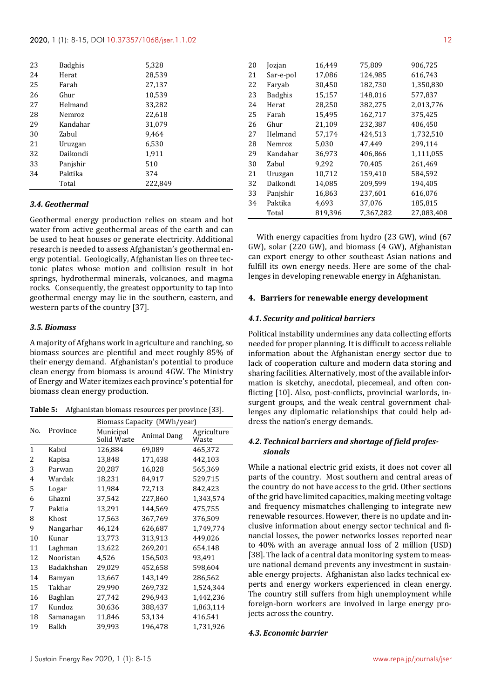| 23 | <b>Badghis</b> | 5,328   |
|----|----------------|---------|
| 24 | Herat          | 28,539  |
| 25 | Farah          | 27,137  |
| 26 | Ghur           | 10,539  |
| 27 | Helmand        | 33,282  |
| 28 | Nemroz         | 22,618  |
| 29 | Kandahar       | 31,079  |
| 30 | Zabul          | 9,464   |
| 21 | Uruzgan        | 6,530   |
| 32 | Daikondi       | 1,911   |
| 33 | Panjshir       | 510     |
| 34 | Paktika        | 374     |
|    | Total          | 222,849 |

#### *3.4. Geothermal*

Geothermal energy production relies on steam and hot water from active geothermal areas of the earth and can be used to heat houses or generate electricity. Additional research is needed to assess Afghanistan's geothermal energy potential. Geologically, Afghanistan lies on three tectonic plates whose motion and collision result in hot springs, hydrothermal minerals, volcanoes, and magma rocks. Consequently, the greatest opportunity to tap into geothermal energy may lie in the southern, eastern, and western parts of the country [37].

#### *3.5. Biomass*

A majority of Afghans work in agriculture and ranching, so biomass sources are plentiful and meet roughly 85% of their energy demand. Afghanistan's potential to produce clean energy from biomass is around 4GW. The Ministry of Energy and Water itemizes each province's potential for biomass clean energy production.

| <b>Table 5:</b> Afghanistan biomass resources per province [33]. |  |  |  |
|------------------------------------------------------------------|--|--|--|
|------------------------------------------------------------------|--|--|--|

|              |                | Biomass Capacity (MWh/year) |             |                      |  |
|--------------|----------------|-----------------------------|-------------|----------------------|--|
| No.          | Province       | Municipal<br>Solid Waste    | Animal Dang | Agriculture<br>Waste |  |
| $\mathbf{1}$ | Kabul          | 126,884                     | 69,089      | 465,372              |  |
| 2            | Kapisa         | 13,848                      | 171,438     | 442,103              |  |
| 3            | Parwan         | 20,287                      | 16,028      | 565,369              |  |
| 4            | Wardak         | 18,231                      | 84,917      | 529,715              |  |
| 5            | Logar          | 11,984                      | 72,713      | 842,423              |  |
| 6            | Ghazni         | 37,542                      | 227,860     | 1,343,574            |  |
| 7            | Paktia         | 13,291                      | 144,569     | 475,755              |  |
| 8            | Khost          | 17,563                      | 367,769     | 376,509              |  |
| 9            | Nangarhar      | 46,124                      | 626,687     | 1,749,774            |  |
| 10           | Kunar          | 13,773                      | 313,913     | 449,026              |  |
| 11           | Laghman        | 13,622                      | 269,201     | 654,148              |  |
| 12           | Nooristan      | 4,526                       | 156,503     | 93,491               |  |
| 13           | Badakhshan     | 29,029                      | 452,658     | 598,604              |  |
| 14           | Bamyan         | 13,667                      | 143,149     | 286,562              |  |
| 15           | Takhar         | 29,990                      | 269,732     | 1,524,344            |  |
| 16           | <b>Baghlan</b> | 27,742                      | 296,943     | 1,442,236            |  |
| 17           | Kundoz         | 30,636                      | 388,437     | 1,863,114            |  |
| 18           | Samanagan      | 11,846                      | 53,134      | 416,541              |  |
| 19           | Balkh          | 39,993                      | 196,478     | 1,731,926            |  |

| 20 | Jozjan         | 16,449  | 75,809    | 906,725    |
|----|----------------|---------|-----------|------------|
| 21 | Sar-e-pol      | 17,086  | 124,985   | 616,743    |
| 22 | Faryab         | 30,450  | 182,730   | 1,350,830  |
| 23 | <b>Badghis</b> | 15,157  | 148,016   | 577,837    |
| 24 | Herat          | 28,250  | 382,275   | 2,013,776  |
| 25 | Farah          | 15,495  | 162,717   | 375,425    |
| 26 | Ghur           | 21,109  | 232,387   | 406,450    |
| 27 | Helmand        | 57,174  | 424,513   | 1,732,510  |
| 28 | Nemroz         | 5,030   | 47,449    | 299,114    |
| 29 | Kandahar       | 36,973  | 406,866   | 1,111,055  |
| 30 | Zabul          | 9.292   | 70.405    | 261,469    |
| 21 | Uruzgan        | 10,712  | 159,410   | 584,592    |
| 32 | Daikondi       | 14,085  | 209,599   | 194.405    |
| 33 | Panjshir       | 16,863  | 237,601   | 616,076    |
| 34 | Paktika        | 4,693   | 37,076    | 185,815    |
|    | Total          | 819,396 | 7,367,282 | 27,083,408 |

With energy capacities from hydro (23 GW), wind (67 GW), solar (220 GW), and biomass (4 GW), Afghanistan can export energy to other southeast Asian nations and fulfill its own energy needs. Here are some of the challenges in developing renewable energy in Afghanistan.

#### **4. Barriers for renewable energy development**

#### *4.1. Security and political barriers*

Political instability undermines any data collecting efforts needed for proper planning. It is difficult to access reliable information about the Afghanistan energy sector due to lack of cooperation culture and modern data storing and sharing facilities. Alternatively, most of the available information is sketchy, anecdotal, piecemeal, and often conflicting [10]. Also, post-conflicts, provincial warlords, insurgent groups, and the weak central government challenges any diplomatic relationships that could help address the nation's energy demands.

# *4.2. Technical barriers and shortage of field professionals*

While a national electric grid exists, it does not cover all parts of the country. Most southern and central areas of the country do not have access to the grid. Other sections of the grid have limited capacities, making meeting voltage and frequency mismatches challenging to integrate new renewable resources. However, there is no update and inclusive information about energy sector technical and financial losses, the power networks losses reported near to 40% with an average annual loss of 2 million (USD) [38]. The lack of a central data monitoring system to measure national demand prevents any investment in sustainable energy projects. Afghanistan also lacks technical experts and energy workers experienced in clean energy. The country still suffers from high unemployment while foreign-born workers are involved in large energy projects across the country.

#### *4.3. Economic barrier*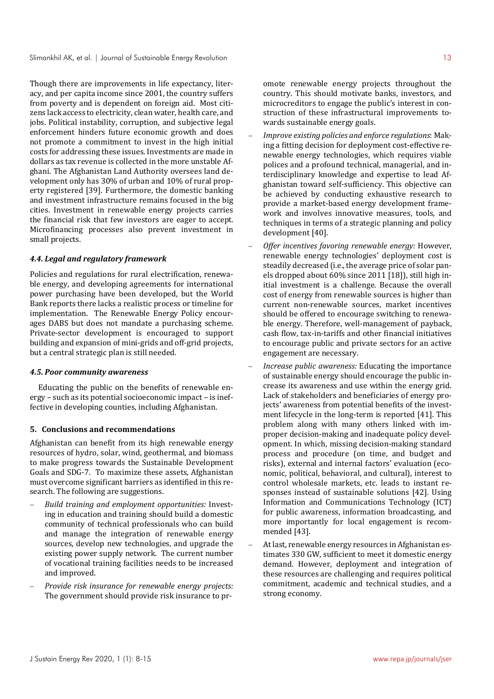Though there are improvements in life expectancy, literacy, and per capita income since 2001, the country suffers from poverty and is dependent on foreign aid. Most citizens lack access to electricity, clean water, health care, and jobs. Political instability, corruption, and subjective legal enforcement hinders future economic growth and does not promote a commitment to invest in the high initial costs for addressing these issues. Investments are made in dollars as tax revenue is collected in the more unstable Afghani. The Afghanistan Land Authority oversees land development only has 30% of urban and 10% of rural property registered [39]. Furthermore, the domestic banking and investment infrastructure remains focused in the big cities. Investment in renewable energy projects carries the financial risk that few investors are eager to accept. Microfinancing processes also prevent investment in small projects.

## *4.4. Legal and regulatory framework*

Policies and regulations for rural electrification, renewable energy, and developing agreements for international power purchasing have been developed, but the World Bank reports there lacks a realistic process or timeline for implementation. The Renewable Energy Policy encourages DABS but does not mandate a purchasing scheme. Private-sector development is encouraged to support building and expansion of mini-grids and off-grid projects, but a central strategic plan is still needed.

#### *4.5. Poor community awareness*

Educating the public on the benefits of renewable energy – such as its potential socioeconomic impact – is ineffective in developing counties, including Afghanistan.

### **5. Conclusions and recommendations**

Afghanistan can benefit from its high renewable energy resources of hydro, solar, wind, geothermal, and biomass to make progress towards the Sustainable Development Goals and SDG-7. To maximize these assets, Afghanistan must overcome significant barriers as identified in this research. The following are suggestions.

- *Build training and employment opportunities:* Investing in education and training should build a domestic community of technical professionals who can build and manage the integration of renewable energy sources, develop new technologies, and upgrade the existing power supply network. The current number of vocational training facilities needs to be increased and improved.
- *Provide risk insurance for renewable energy projects:* The government should provide risk insurance to pr-

omote renewable energy projects throughout the country. This should motivate banks, investors, and microcreditors to engage the public's interest in construction of these infrastructural improvements towards sustainable energy goals.

- *Improve existing policies and enforce regulations*: Making a fitting decision for deployment cost-effective renewable energy technologies, which requires viable polices and a profound technical, managerial, and interdisciplinary knowledge and expertise to lead Afghanistan toward self-sufficiency. This objective can be achieved by conducting exhaustive research to provide a market-based energy development framework and involves innovative measures, tools, and techniques in terms of a strategic planning and policy development [40].
- *Offer incentives favoring renewable energy:* However, renewable energy technologies' deployment cost is steadily decreased (i.e., the average price of solar panels dropped about 60% since 2011 [18]), still high initial investment is a challenge. Because the overall cost of energy from renewable sources is higher than current non-renewable sources, market incentives should be offered to encourage switching to renewable energy. Therefore, well-management of payback, cash flow, tax-in-tariffs and other financial initiatives to encourage public and private sectors for an active engagement are necessary.
- *Increase public awareness:* Educating the importance of sustainable energy should encourage the public increase its awareness and use within the energy grid. Lack of stakeholders and beneficiaries of energy projects' awareness from potential benefits of the investment lifecycle in the long-term is reported [41]. This problem along with many others linked with improper decision-making and inadequate policy development. In which, missing decision-making standard process and procedure (on time, and budget and risks), external and internal factors' evaluation (economic, political, behavioral, and cultural), interest to control wholesale markets, etc. leads to instant responses instead of sustainable solutions [42]. Using Information and Communications Technology (ICT) for public awareness, information broadcasting, and more importantly for local engagement is recommended [43].
- At last, renewable energy resources in Afghanistan estimates 330 GW, sufficient to meet it domestic energy demand. However, deployment and integration of these resources are challenging and requires political commitment, academic and technical studies, and a strong economy.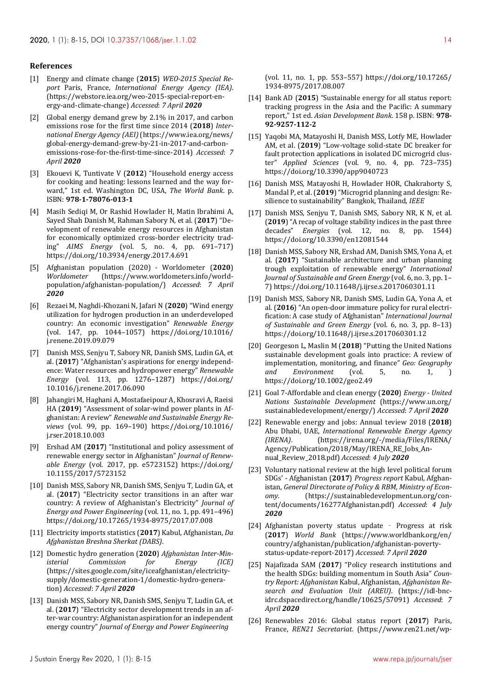#### **References**

- [1] Energy and climate change (**2015**) *WEO-2015 Special Report* Paris, France, *International Energy Agency (IEA)*. (https://webstore.iea.org/weo-2015-special-report-energy-and-climate-change) *Accessed*: *7 April 2020*
- [2] Global energy demand grew by 2.1% in 2017, and carbon emissions rose for the first time since 2014 (**2018**) *International Energy Agency (AEI)* (https://www.iea.org/news/ global-energy-demand-grew-by-21-in-2017-and-carbonemissions-rose-for-the-first-time-since-2014) *Accessed*: *7 April 2020*
- [3] Ekouevi K, Tuntivate V (**2012**) "Household energy access for cooking and heating: lessons learned and the way forward," 1st ed. Washington DC, USA, *The World Bank*. p. ISBN: **978-1-78076-013-1**
- [4] Masih Sediqi M, Or Rashid Howlader H, Matin Ibrahimi A, Sayed Shah Danish M, Rahman Sabory N, et al. (**2017**) "Development of renewable energy resources in Afghanistan for economically optimized cross-border electricity trading" *AIMS Energy* (vol. 5, no. 4, pp. 691–717) https://doi.org/10.3934/energy.2017.4.691
- [5] Afghanistan population (2020) Worldometer (**2020**) *Worldometer* (https://www.worldometers.info/worldpopulation/afghanistan-population/) *Accessed*: *7 April 2020*
- [6] Rezaei M, Naghdi-Khozani N, Jafari N (**2020**) "Wind energy utilization for hydrogen production in an underdeveloped country: An economic investigation" *Renewable Energy* (vol. 147, pp. 1044–1057) https://doi.org/10.1016/ j.renene.2019.09.079
- [7] Danish MSS, Senjyu T, Sabory NR, Danish SMS, Ludin GA, et al. (**2017**) "Afghanistan's aspirations for energy independence: Water resources and hydropower energy" *Renewable Energy* (vol. 113, pp. 1276–1287) https://doi.org/ 10.1016/j.renene.2017.06.090
- [8] Jahangiri M, Haghani A, Mostafaeipour A, Khosravi A, Raeisi HA (**2019**) "Assessment of solar-wind power plants in Afghanistan: A review" *Renewable and Sustainable Energy Reviews* (vol. 99, pp. 169–190) https://doi.org/10.1016/ j.rser.2018.10.003
- [9] Ershad AM (**2017**) "Institutional and policy assessment of renewable energy sector in Afghanistan" *Journal of Renewable Energy* (vol. 2017, pp. e5723152) https://doi.org/ 10.1155/2017/5723152
- [10] Danish MSS, Sabory NR, Danish SMS, Senjyu T, Ludin GA, et al. (**2017**) "Electricity sector transitions in an after war country: A review of Afghanistan's Electricity" *Journal of Energy and Power Engineering* (vol. 11, no. 1, pp. 491–496) https://doi.org/10.17265/1934-8975/2017.07.008
- [11] Electricity imports statistics (**2017**) Kabul, Afghanistan, *Da Afghanistan Breshna Sherkat (DABS)*.
- [12] Domestic hydro generation (**2020**) *Afghanistan Inter-Ministerial Commission for Energy (ICE)* (https://sites.google.com/site/iceafghanistan/electricitysupply/domestic-generation-1/domestic-hydro-generation) *Accessed*: *7 April 2020*
- [13] Danish MSS, Sabory NR, Danish SMS, Senjyu T, Ludin GA, et al. (**2017**) "Electricity sector development trends in an after-war country: Afghanistan aspiration for an independent energy country" *Journal of Energy and Power Engineering*

(vol. 11, no. 1, pp. 553–557) https://doi.org/10.17265/ 1934-8975/2017.08.007

- [14] Bank AD (**2015**) "Sustainable energy for all status report: tracking progress in the Asia and the Pacific: A summary report," 1st ed. *Asian Development Bank*. 158 p. ISBN: **978- 92-9257-112-2**
- [15] Yaqobi MA, Matayoshi H, Danish MSS, Lotfy ME, Howlader AM, et al. (**2019**) "Low-voltage solid-state DC breaker for fault protection applications in isolated DC microgrid cluster" *Applied Sciences* (vol. 9, no. 4, pp. 723–735) https://doi.org/10.3390/app9040723
- [16] Danish MSS, Matayoshi H, Howlader HOR, Chakraborty S, Mandal P, et al. (**2019**) "Microgrid planning and design: Resilience to sustainability" Bangkok, Thailand, *IEEE*
- [17] Danish MSS, Senjyu T, Danish SMS, Sabory NR, K N, et al. (**2019**) "A recap of voltage stability indices in the past three decades" *Energies* (vol. 12, no. 8, pp. 1544) https://doi.org/10.3390/en12081544
- [18] Danish MSS, Sabory NR, Ershad AM, Danish SMS, Yona A, et al. (**2017**) "Sustainable architecture and urban planning trough exploitation of renewable energy" *International Journal of Sustainable and Green Energy* (vol. 6, no. 3, pp. 1– 7) https://doi.org/10.11648/j.ijrse.s.2017060301.11
- [19] Danish MSS, Sabory NR, Danish SMS, Ludin GA, Yona A, et al. (**2016**) "An open-door immature policy for rural electrification: A case study of Afghanistan" *International Journal of Sustainable and Green Energy* (vol. 6, no. 3, pp. 8–13) https://doi.org/10.11648/j.ijrse.s.2017060301.12
- [20] Georgeson L, Maslin M (**2018**) "Putting the United Nations sustainable development goals into practice: A review of implementation, monitoring, and finance" *Geo: Geography and Environment* (vol. 5, no. 1, ) https://doi.org/10.1002/geo2.49
- [21] Goal 7-Affordable and clean energy (**2020**) *Energy United Nations Sustainable Development* (https://www.un.org/ sustainabledevelopment/energy/) *Accessed*: *7 April 2020*
- [22] Renewable energy and jobs: Annual teview 2018 (**2018**) Abu Dhabi, UAE, *International Renewable Energy Agency (IRENA)*. (https://irena.org/-/media/Files/IRENA/ Agency/Publication/2018/May/IRENA\_RE\_Jobs\_Annual\_Review\_2018.pdf) *Accessed*: *4 July 2020*
- [23] Voluntary national review at the high level political forum SDGs' - Afghanistan (**2017**) *Progress report* Kabul, Afghanistan, *General Directorate of Policy & RBM, Ministry of Economy*. (https://sustainabledevelopment.un.org/content/documents/16277Afghanistan.pdf) *Accessed*: *4 July 2020*
- [24] Afghanistan poverty status update Progress at risk (**2017**) *World Bank* (https://www.worldbank.org/en/ country/afghanistan/publication/afghanistan-povertystatus-update-report-2017) *Accessed*: *7 April 2020*
- [25] Najafizada SAM (**2017**) "Policy research institutions and the health SDGs: building momentum in South Asia" *Country Report: Afghanistan* Kabul, Afghanistan, *Afghanistan Research and Evaluation Unit (AREU)*. (https://idl-bncidrc.dspacedirect.org/handle/10625/57091) *Accessed*: *7 April 2020*
- [26] Renewables 2016: Global status report (**2017**) Paris, France, *REN21 Secretariat*. (https://www.ren21.net/wp-